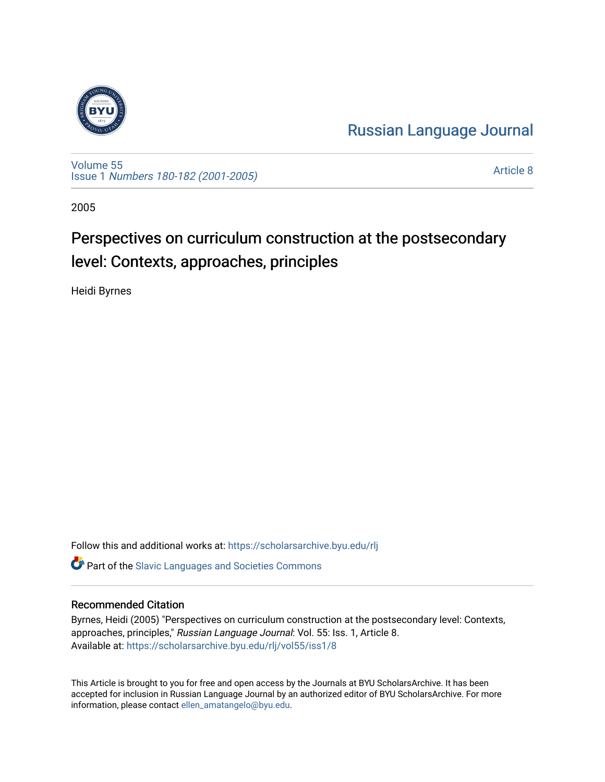

[Russian Language Journal](https://scholarsarchive.byu.edu/rlj) 

[Volume 55](https://scholarsarchive.byu.edu/rlj/vol55) Issue 1 [Numbers 180-182 \(2001-2005\)](https://scholarsarchive.byu.edu/rlj/vol55/iss1)

[Article 8](https://scholarsarchive.byu.edu/rlj/vol55/iss1/8) 

2005

# Perspectives on curriculum construction at the postsecondary level: Contexts, approaches, principles

Heidi Byrnes

Follow this and additional works at: [https://scholarsarchive.byu.edu/rlj](https://scholarsarchive.byu.edu/rlj?utm_source=scholarsarchive.byu.edu%2Frlj%2Fvol55%2Fiss1%2F8&utm_medium=PDF&utm_campaign=PDFCoverPages)

**C** Part of the Slavic Languages and Societies Commons

#### Recommended Citation

Byrnes, Heidi (2005) "Perspectives on curriculum construction at the postsecondary level: Contexts, approaches, principles," Russian Language Journal: Vol. 55: Iss. 1, Article 8. Available at: [https://scholarsarchive.byu.edu/rlj/vol55/iss1/8](https://scholarsarchive.byu.edu/rlj/vol55/iss1/8?utm_source=scholarsarchive.byu.edu%2Frlj%2Fvol55%2Fiss1%2F8&utm_medium=PDF&utm_campaign=PDFCoverPages) 

This Article is brought to you for free and open access by the Journals at BYU ScholarsArchive. It has been accepted for inclusion in Russian Language Journal by an authorized editor of BYU ScholarsArchive. For more information, please contact [ellen\\_amatangelo@byu.edu.](mailto:ellen_amatangelo@byu.edu)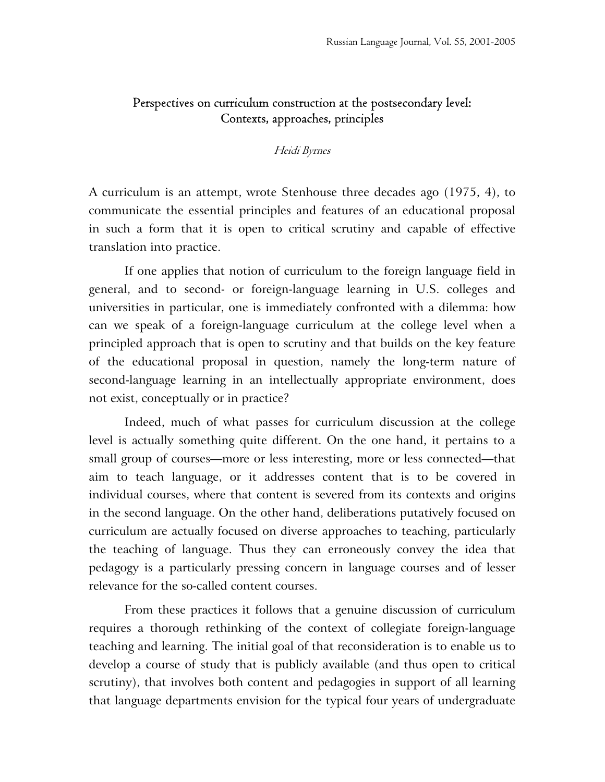# Perspectives on curriculum construction at the postsecondary level: Contexts, approaches, principles

#### Heidi Byrnes

A curriculum is an attempt, wrote Stenhouse three decades ago (1975, 4), to communicate the essential principles and features of an educational proposal in such a form that it is open to critical scrutiny and capable of effective translation into practice.

If one applies that notion of curriculum to the foreign language field in general, and to second- or foreign-language learning in U.S. colleges and universities in particular, one is immediately confronted with a dilemma: how can we speak of a foreign-language curriculum at the college level when a principled approach that is open to scrutiny and that builds on the key feature of the educational proposal in question, namely the long-term nature of second-language learning in an intellectually appropriate environment, does not exist, conceptually or in practice?

Indeed, much of what passes for curriculum discussion at the college level is actually something quite different. On the one hand, it pertains to a small group of courses—more or less interesting, more or less connected—that aim to teach language, or it addresses content that is to be covered in individual courses, where that content is severed from its contexts and origins in the second language. On the other hand, deliberations putatively focused on curriculum are actually focused on diverse approaches to teaching, particularly the teaching of language. Thus they can erroneously convey the idea that pedagogy is a particularly pressing concern in language courses and of lesser relevance for the so-called content courses.

From these practices it follows that a genuine discussion of curriculum requires a thorough rethinking of the context of collegiate foreign-language teaching and learning. The initial goal of that reconsideration is to enable us to develop a course of study that is publicly available (and thus open to critical scrutiny), that involves both content and pedagogies in support of all learning that language departments envision for the typical four years of undergraduate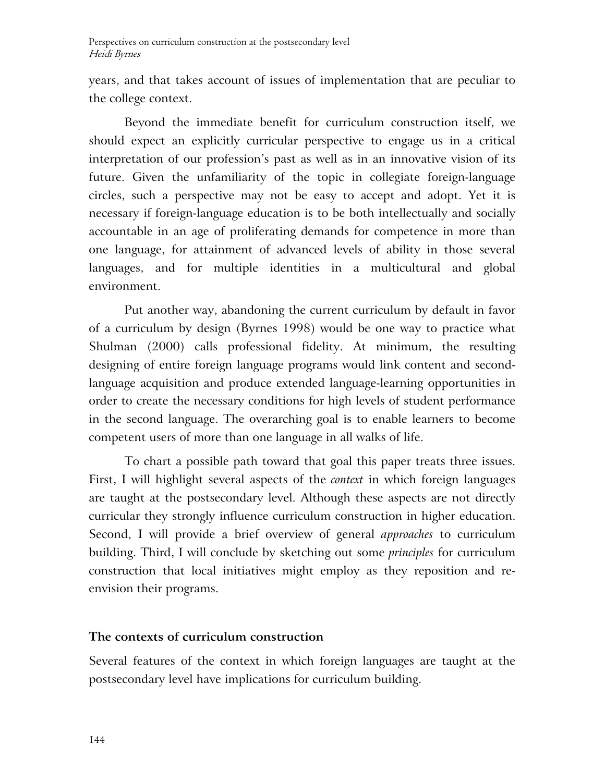years, and that takes account of issues of implementation that are peculiar to the college context.

Beyond the immediate benefit for curriculum construction itself, we should expect an explicitly curricular perspective to engage us in a critical interpretation of our profession's past as well as in an innovative vision of its future. Given the unfamiliarity of the topic in collegiate foreign-language circles, such a perspective may not be easy to accept and adopt. Yet it is necessary if foreign-language education is to be both intellectually and socially accountable in an age of proliferating demands for competence in more than one language, for attainment of advanced levels of ability in those several languages, and for multiple identities in a multicultural and global environment.

Put another way, abandoning the current curriculum by default in favor of a curriculum by design (Byrnes 1998) would be one way to practice what Shulman (2000) calls professional fidelity. At minimum, the resulting designing of entire foreign language programs would link content and secondlanguage acquisition and produce extended language-learning opportunities in order to create the necessary conditions for high levels of student performance in the second language. The overarching goal is to enable learners to become competent users of more than one language in all walks of life.

To chart a possible path toward that goal this paper treats three issues. First, I will highlight several aspects of the *context* in which foreign languages are taught at the postsecondary level. Although these aspects are not directly curricular they strongly influence curriculum construction in higher education. Second, I will provide a brief overview of general *approaches* to curriculum building. Third, I will conclude by sketching out some *principles* for curriculum construction that local initiatives might employ as they reposition and reenvision their programs.

### **The contexts of curriculum construction**

Several features of the context in which foreign languages are taught at the postsecondary level have implications for curriculum building.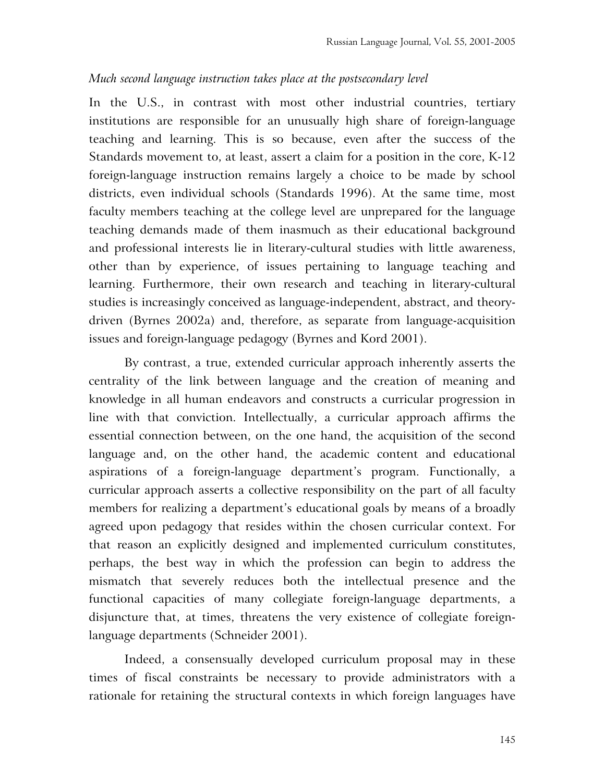#### *Much second language instruction takes place at the postsecondary level*

In the U.S., in contrast with most other industrial countries, tertiary institutions are responsible for an unusually high share of foreign-language teaching and learning. This is so because, even after the success of the Standards movement to, at least, assert a claim for a position in the core, K-12 foreign-language instruction remains largely a choice to be made by school districts, even individual schools (Standards 1996). At the same time, most faculty members teaching at the college level are unprepared for the language teaching demands made of them inasmuch as their educational background and professional interests lie in literary-cultural studies with little awareness, other than by experience, of issues pertaining to language teaching and learning. Furthermore, their own research and teaching in literary-cultural studies is increasingly conceived as language-independent, abstract, and theorydriven (Byrnes 2002a) and, therefore, as separate from language-acquisition issues and foreign-language pedagogy (Byrnes and Kord 2001).

By contrast, a true, extended curricular approach inherently asserts the centrality of the link between language and the creation of meaning and knowledge in all human endeavors and constructs a curricular progression in line with that conviction. Intellectually, a curricular approach affirms the essential connection between, on the one hand, the acquisition of the second language and, on the other hand, the academic content and educational aspirations of a foreign-language department's program. Functionally, a curricular approach asserts a collective responsibility on the part of all faculty members for realizing a department's educational goals by means of a broadly agreed upon pedagogy that resides within the chosen curricular context. For that reason an explicitly designed and implemented curriculum constitutes, perhaps, the best way in which the profession can begin to address the mismatch that severely reduces both the intellectual presence and the functional capacities of many collegiate foreign-language departments, a disjuncture that, at times, threatens the very existence of collegiate foreignlanguage departments (Schneider 2001).

Indeed, a consensually developed curriculum proposal may in these times of fiscal constraints be necessary to provide administrators with a rationale for retaining the structural contexts in which foreign languages have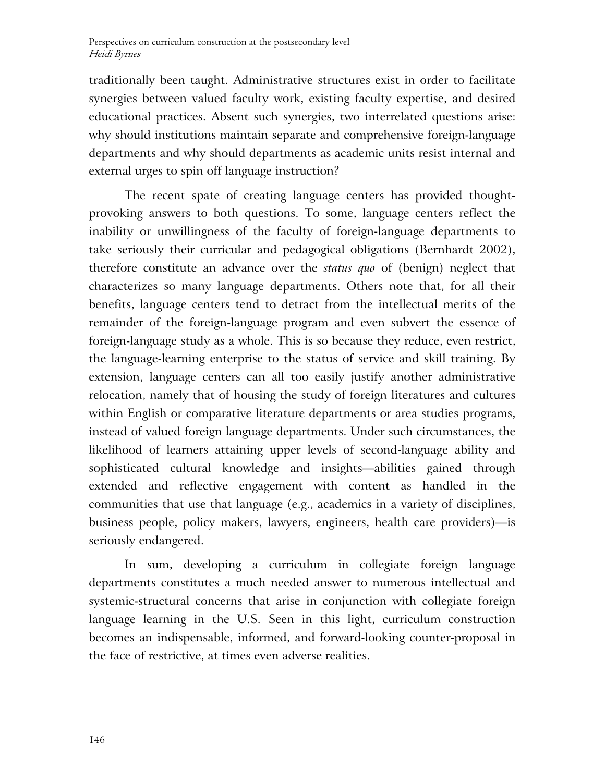traditionally been taught. Administrative structures exist in order to facilitate synergies between valued faculty work, existing faculty expertise, and desired educational practices. Absent such synergies, two interrelated questions arise: why should institutions maintain separate and comprehensive foreign-language departments and why should departments as academic units resist internal and external urges to spin off language instruction?

The recent spate of creating language centers has provided thoughtprovoking answers to both questions. To some, language centers reflect the inability or unwillingness of the faculty of foreign-language departments to take seriously their curricular and pedagogical obligations (Bernhardt 2002), therefore constitute an advance over the *status quo* of (benign) neglect that characterizes so many language departments. Others note that, for all their benefits, language centers tend to detract from the intellectual merits of the remainder of the foreign-language program and even subvert the essence of foreign-language study as a whole. This is so because they reduce, even restrict, the language-learning enterprise to the status of service and skill training. By extension, language centers can all too easily justify another administrative relocation, namely that of housing the study of foreign literatures and cultures within English or comparative literature departments or area studies programs, instead of valued foreign language departments. Under such circumstances, the likelihood of learners attaining upper levels of second-language ability and sophisticated cultural knowledge and insights—abilities gained through extended and reflective engagement with content as handled in the communities that use that language (e.g., academics in a variety of disciplines, business people, policy makers, lawyers, engineers, health care providers)—is seriously endangered.

In sum, developing a curriculum in collegiate foreign language departments constitutes a much needed answer to numerous intellectual and systemic-structural concerns that arise in conjunction with collegiate foreign language learning in the U.S. Seen in this light, curriculum construction becomes an indispensable, informed, and forward-looking counter-proposal in the face of restrictive, at times even adverse realities.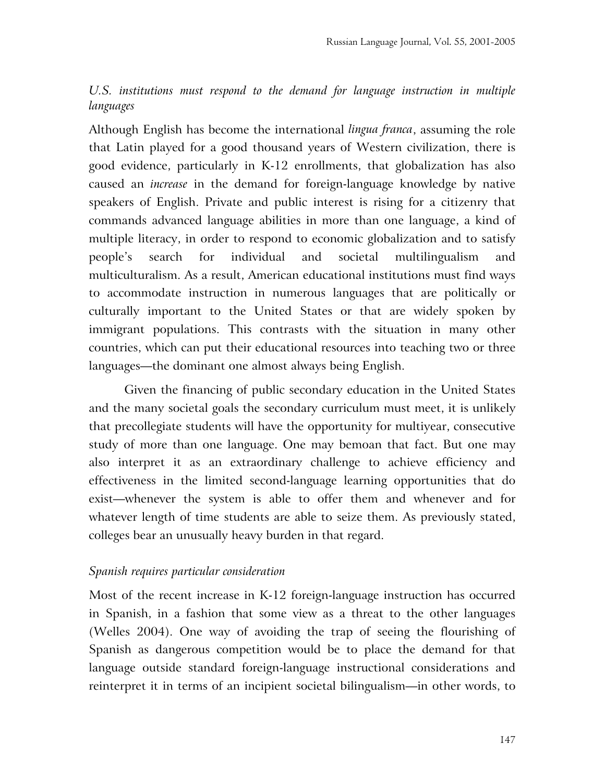# *U.S. institutions must respond to the demand for language instruction in multiple languages*

Although English has become the international *lingua franca*, assuming the role that Latin played for a good thousand years of Western civilization, there is good evidence, particularly in K-12 enrollments, that globalization has also caused an *increase* in the demand for foreign-language knowledge by native speakers of English. Private and public interest is rising for a citizenry that commands advanced language abilities in more than one language, a kind of multiple literacy, in order to respond to economic globalization and to satisfy people's search for individual and societal multilingualism and multiculturalism. As a result, American educational institutions must find ways to accommodate instruction in numerous languages that are politically or culturally important to the United States or that are widely spoken by immigrant populations. This contrasts with the situation in many other countries, which can put their educational resources into teaching two or three languages—the dominant one almost always being English.

Given the financing of public secondary education in the United States and the many societal goals the secondary curriculum must meet, it is unlikely that precollegiate students will have the opportunity for multiyear, consecutive study of more than one language. One may bemoan that fact. But one may also interpret it as an extraordinary challenge to achieve efficiency and effectiveness in the limited second-language learning opportunities that do exist—whenever the system is able to offer them and whenever and for whatever length of time students are able to seize them. As previously stated, colleges bear an unusually heavy burden in that regard.

### *Spanish requires particular consideration*

Most of the recent increase in K-12 foreign-language instruction has occurred in Spanish, in a fashion that some view as a threat to the other languages (Welles 2004). One way of avoiding the trap of seeing the flourishing of Spanish as dangerous competition would be to place the demand for that language outside standard foreign-language instructional considerations and reinterpret it in terms of an incipient societal bilingualism—in other words, to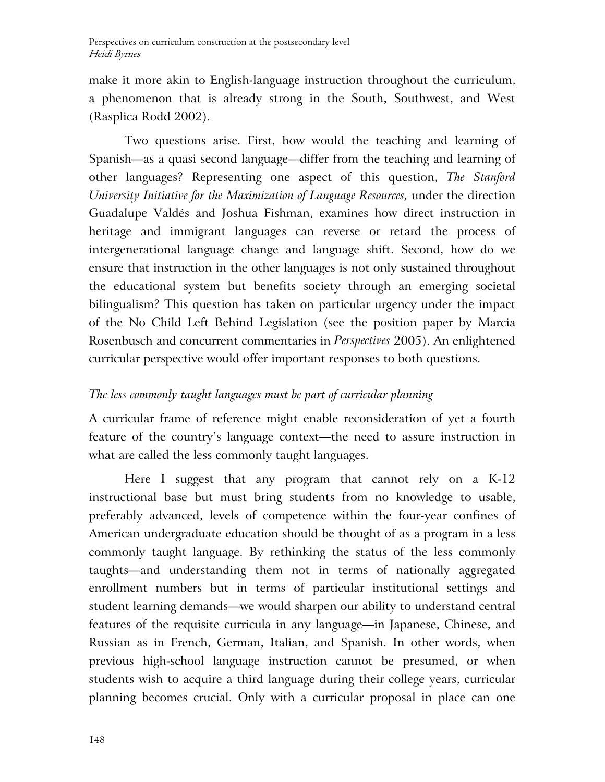make it more akin to English-language instruction throughout the curriculum, a phenomenon that is already strong in the South, Southwest, and West (Rasplica Rodd 2002).

Two questions arise. First, how would the teaching and learning of Spanish—as a quasi second language—differ from the teaching and learning of other languages? Representing one aspect of this question, *The Stanford University Initiative for the Maximization of Language Resources,* under the direction Guadalupe Valdés and Joshua Fishman, examines how direct instruction in heritage and immigrant languages can reverse or retard the process of intergenerational language change and language shift. Second, how do we ensure that instruction in the other languages is not only sustained throughout the educational system but benefits society through an emerging societal bilingualism? This question has taken on particular urgency under the impact of the No Child Left Behind Legislation (see the position paper by Marcia Rosenbusch and concurrent commentaries in *Perspectives* 2005). An enlightened curricular perspective would offer important responses to both questions.

# *The less commonly taught languages must be part of curricular planning*

A curricular frame of reference might enable reconsideration of yet a fourth feature of the country's language context—the need to assure instruction in what are called the less commonly taught languages.

Here I suggest that any program that cannot rely on a K-12 instructional base but must bring students from no knowledge to usable, preferably advanced, levels of competence within the four-year confines of American undergraduate education should be thought of as a program in a less commonly taught language. By rethinking the status of the less commonly taughts—and understanding them not in terms of nationally aggregated enrollment numbers but in terms of particular institutional settings and student learning demands—we would sharpen our ability to understand central features of the requisite curricula in any language—in Japanese, Chinese, and Russian as in French, German, Italian, and Spanish. In other words, when previous high-school language instruction cannot be presumed, or when students wish to acquire a third language during their college years, curricular planning becomes crucial. Only with a curricular proposal in place can one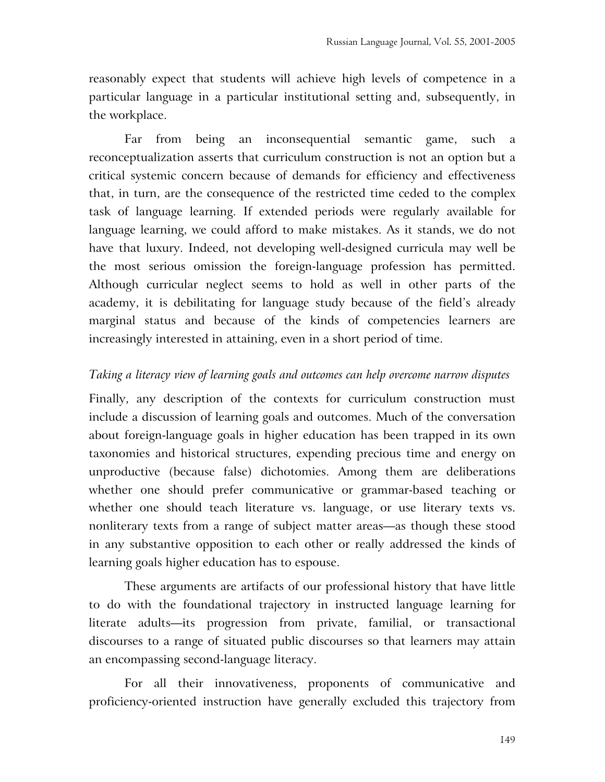reasonably expect that students will achieve high levels of competence in a particular language in a particular institutional setting and, subsequently, in the workplace.

Far from being an inconsequential semantic game, such a reconceptualization asserts that curriculum construction is not an option but a critical systemic concern because of demands for efficiency and effectiveness that, in turn, are the consequence of the restricted time ceded to the complex task of language learning. If extended periods were regularly available for language learning, we could afford to make mistakes. As it stands, we do not have that luxury. Indeed, not developing well-designed curricula may well be the most serious omission the foreign-language profession has permitted. Although curricular neglect seems to hold as well in other parts of the academy, it is debilitating for language study because of the field's already marginal status and because of the kinds of competencies learners are increasingly interested in attaining, even in a short period of time.

### *Taking a literacy view of learning goals and outcomes can help overcome narrow disputes*

Finally, any description of the contexts for curriculum construction must include a discussion of learning goals and outcomes. Much of the conversation about foreign-language goals in higher education has been trapped in its own taxonomies and historical structures, expending precious time and energy on unproductive (because false) dichotomies. Among them are deliberations whether one should prefer communicative or grammar-based teaching or whether one should teach literature vs. language, or use literary texts vs. nonliterary texts from a range of subject matter areas—as though these stood in any substantive opposition to each other or really addressed the kinds of learning goals higher education has to espouse.

These arguments are artifacts of our professional history that have little to do with the foundational trajectory in instructed language learning for literate adults—its progression from private, familial, or transactional discourses to a range of situated public discourses so that learners may attain an encompassing second-language literacy.

For all their innovativeness, proponents of communicative and proficiency-oriented instruction have generally excluded this trajectory from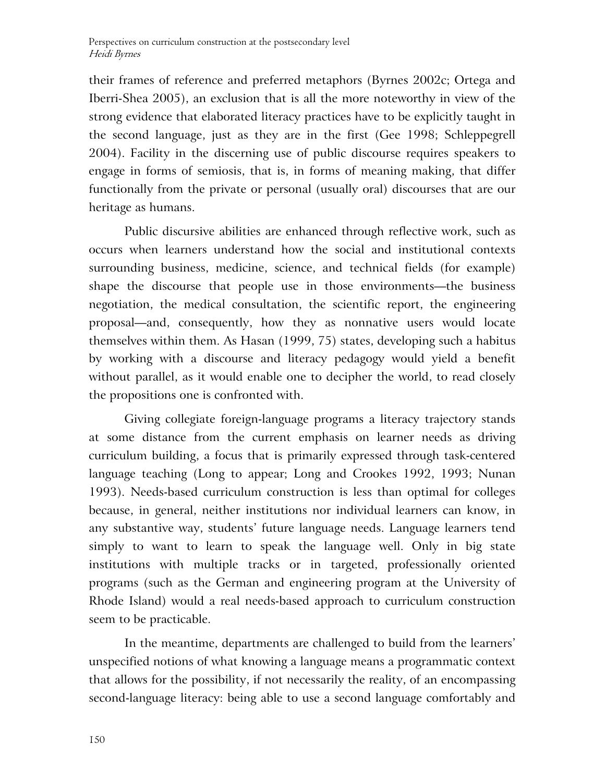their frames of reference and preferred metaphors (Byrnes 2002c; Ortega and Iberri-Shea 2005), an exclusion that is all the more noteworthy in view of the strong evidence that elaborated literacy practices have to be explicitly taught in the second language, just as they are in the first (Gee 1998; Schleppegrell 2004). Facility in the discerning use of public discourse requires speakers to engage in forms of semiosis, that is, in forms of meaning making, that differ functionally from the private or personal (usually oral) discourses that are our heritage as humans.

Public discursive abilities are enhanced through reflective work, such as occurs when learners understand how the social and institutional contexts surrounding business, medicine, science, and technical fields (for example) shape the discourse that people use in those environments—the business negotiation, the medical consultation, the scientific report, the engineering proposal—and, consequently, how they as nonnative users would locate themselves within them. As Hasan (1999, 75) states, developing such a habitus by working with a discourse and literacy pedagogy would yield a benefit without parallel, as it would enable one to decipher the world, to read closely the propositions one is confronted with.

Giving collegiate foreign-language programs a literacy trajectory stands at some distance from the current emphasis on learner needs as driving curriculum building, a focus that is primarily expressed through task-centered language teaching (Long to appear; Long and Crookes 1992, 1993; Nunan 1993). Needs-based curriculum construction is less than optimal for colleges because, in general, neither institutions nor individual learners can know, in any substantive way, students' future language needs. Language learners tend simply to want to learn to speak the language well. Only in big state institutions with multiple tracks or in targeted, professionally oriented programs (such as the German and engineering program at the University of Rhode Island) would a real needs-based approach to curriculum construction seem to be practicable.

In the meantime, departments are challenged to build from the learners' unspecified notions of what knowing a language means a programmatic context that allows for the possibility, if not necessarily the reality, of an encompassing second-language literacy: being able to use a second language comfortably and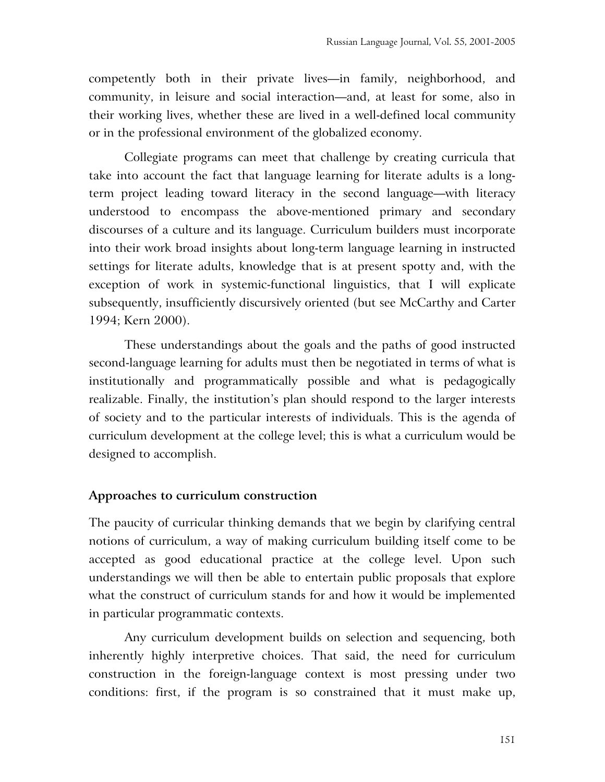competently both in their private lives—in family, neighborhood, and community, in leisure and social interaction—and, at least for some, also in their working lives, whether these are lived in a well-defined local community or in the professional environment of the globalized economy.

Collegiate programs can meet that challenge by creating curricula that take into account the fact that language learning for literate adults is a longterm project leading toward literacy in the second language—with literacy understood to encompass the above-mentioned primary and secondary discourses of a culture and its language. Curriculum builders must incorporate into their work broad insights about long-term language learning in instructed settings for literate adults, knowledge that is at present spotty and, with the exception of work in systemic-functional linguistics, that I will explicate subsequently, insufficiently discursively oriented (but see McCarthy and Carter 1994; Kern 2000).

These understandings about the goals and the paths of good instructed second-language learning for adults must then be negotiated in terms of what is institutionally and programmatically possible and what is pedagogically realizable. Finally, the institution's plan should respond to the larger interests of society and to the particular interests of individuals. This is the agenda of curriculum development at the college level; this is what a curriculum would be designed to accomplish.

### **Approaches to curriculum construction**

The paucity of curricular thinking demands that we begin by clarifying central notions of curriculum, a way of making curriculum building itself come to be accepted as good educational practice at the college level. Upon such understandings we will then be able to entertain public proposals that explore what the construct of curriculum stands for and how it would be implemented in particular programmatic contexts.

Any curriculum development builds on selection and sequencing, both inherently highly interpretive choices. That said, the need for curriculum construction in the foreign-language context is most pressing under two conditions: first, if the program is so constrained that it must make up,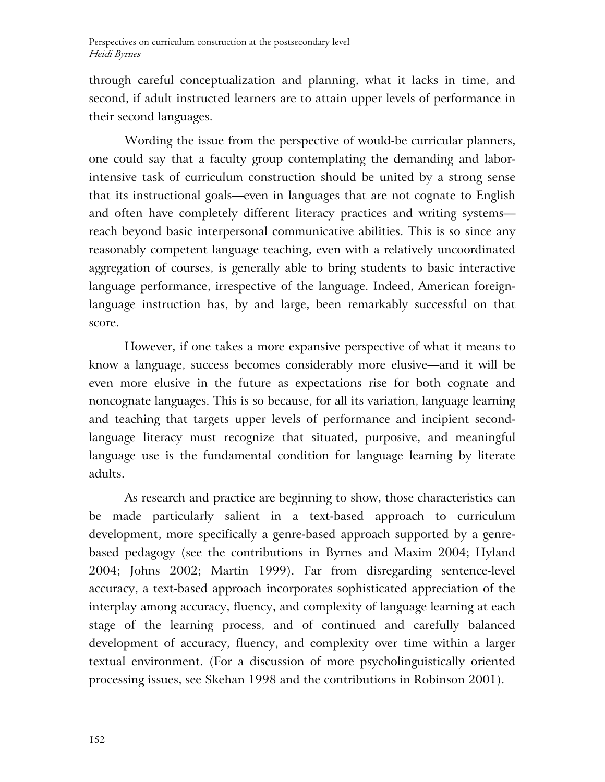through careful conceptualization and planning, what it lacks in time, and second, if adult instructed learners are to attain upper levels of performance in their second languages.

Wording the issue from the perspective of would-be curricular planners, one could say that a faculty group contemplating the demanding and laborintensive task of curriculum construction should be united by a strong sense that its instructional goals—even in languages that are not cognate to English and often have completely different literacy practices and writing systems reach beyond basic interpersonal communicative abilities. This is so since any reasonably competent language teaching, even with a relatively uncoordinated aggregation of courses, is generally able to bring students to basic interactive language performance, irrespective of the language. Indeed, American foreignlanguage instruction has, by and large, been remarkably successful on that score.

However, if one takes a more expansive perspective of what it means to know a language, success becomes considerably more elusive—and it will be even more elusive in the future as expectations rise for both cognate and noncognate languages. This is so because, for all its variation, language learning and teaching that targets upper levels of performance and incipient secondlanguage literacy must recognize that situated, purposive, and meaningful language use is the fundamental condition for language learning by literate adults.

As research and practice are beginning to show, those characteristics can be made particularly salient in a text-based approach to curriculum development, more specifically a genre-based approach supported by a genrebased pedagogy (see the contributions in Byrnes and Maxim 2004; Hyland 2004; Johns 2002; Martin 1999). Far from disregarding sentence-level accuracy, a text-based approach incorporates sophisticated appreciation of the interplay among accuracy, fluency, and complexity of language learning at each stage of the learning process, and of continued and carefully balanced development of accuracy, fluency, and complexity over time within a larger textual environment. (For a discussion of more psycholinguistically oriented processing issues, see Skehan 1998 and the contributions in Robinson 2001).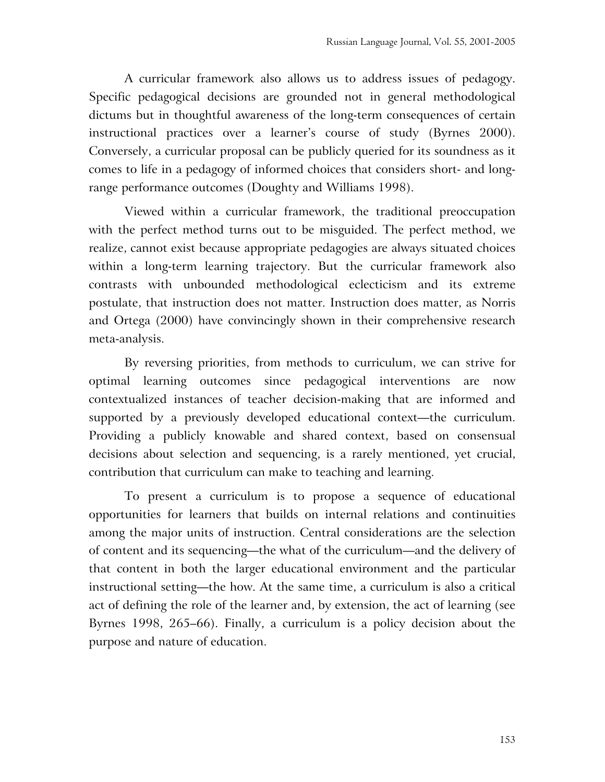A curricular framework also allows us to address issues of pedagogy. Specific pedagogical decisions are grounded not in general methodological dictums but in thoughtful awareness of the long-term consequences of certain instructional practices over a learner's course of study (Byrnes 2000). Conversely, a curricular proposal can be publicly queried for its soundness as it comes to life in a pedagogy of informed choices that considers short- and longrange performance outcomes (Doughty and Williams 1998).

Viewed within a curricular framework, the traditional preoccupation with the perfect method turns out to be misguided. The perfect method, we realize, cannot exist because appropriate pedagogies are always situated choices within a long-term learning trajectory. But the curricular framework also contrasts with unbounded methodological eclecticism and its extreme postulate, that instruction does not matter. Instruction does matter, as Norris and Ortega (2000) have convincingly shown in their comprehensive research meta-analysis.

By reversing priorities, from methods to curriculum, we can strive for optimal learning outcomes since pedagogical interventions are now contextualized instances of teacher decision-making that are informed and supported by a previously developed educational context—the curriculum. Providing a publicly knowable and shared context, based on consensual decisions about selection and sequencing, is a rarely mentioned, yet crucial, contribution that curriculum can make to teaching and learning.

To present a curriculum is to propose a sequence of educational opportunities for learners that builds on internal relations and continuities among the major units of instruction. Central considerations are the selection of content and its sequencing—the what of the curriculum—and the delivery of that content in both the larger educational environment and the particular instructional setting—the how. At the same time, a curriculum is also a critical act of defining the role of the learner and, by extension, the act of learning (see Byrnes 1998, 265–66). Finally, a curriculum is a policy decision about the purpose and nature of education.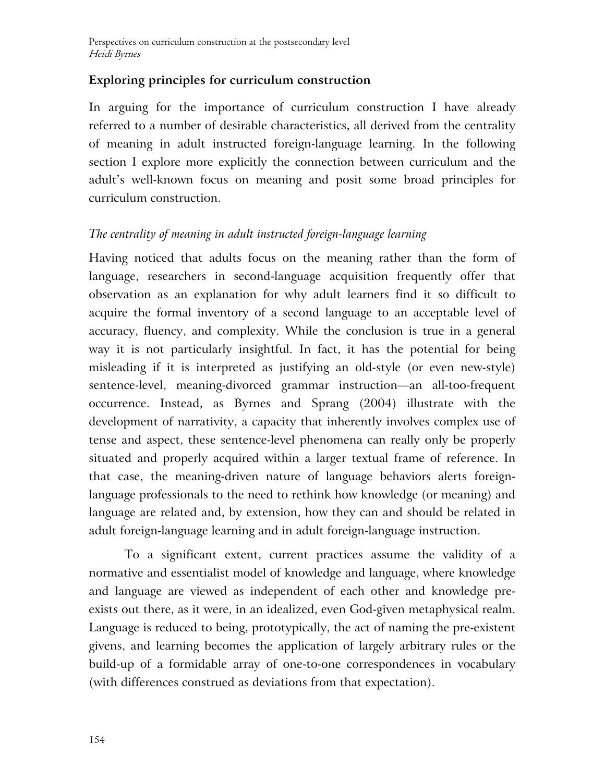## **Exploring principles for curriculum construction**

In arguing for the importance of curriculum construction I have already referred to a number of desirable characteristics, all derived from the centrality of meaning in adult instructed foreign-language learning. In the following section I explore more explicitly the connection between curriculum and the adult's well-known focus on meaning and posit some broad principles for curriculum construction.

## *The centrality of meaning in adult instructed foreign-language learning*

Having noticed that adults focus on the meaning rather than the form of language, researchers in second-language acquisition frequently offer that observation as an explanation for why adult learners find it so difficult to acquire the formal inventory of a second language to an acceptable level of accuracy, fluency, and complexity. While the conclusion is true in a general way it is not particularly insightful. In fact, it has the potential for being misleading if it is interpreted as justifying an old-style (or even new-style) sentence-level, meaning-divorced grammar instruction—an all-too-frequent occurrence. Instead, as Byrnes and Sprang (2004) illustrate with the development of narrativity, a capacity that inherently involves complex use of tense and aspect, these sentence-level phenomena can really only be properly situated and properly acquired within a larger textual frame of reference. In that case, the meaning-driven nature of language behaviors alerts foreignlanguage professionals to the need to rethink how knowledge (or meaning) and language are related and, by extension, how they can and should be related in adult foreign-language learning and in adult foreign-language instruction.

To a significant extent, current practices assume the validity of a normative and essentialist model of knowledge and language, where knowledge and language are viewed as independent of each other and knowledge preexists out there, as it were, in an idealized, even God-given metaphysical realm. Language is reduced to being, prototypically, the act of naming the pre-existent givens, and learning becomes the application of largely arbitrary rules or the build-up of a formidable array of one-to-one correspondences in vocabulary (with differences construed as deviations from that expectation).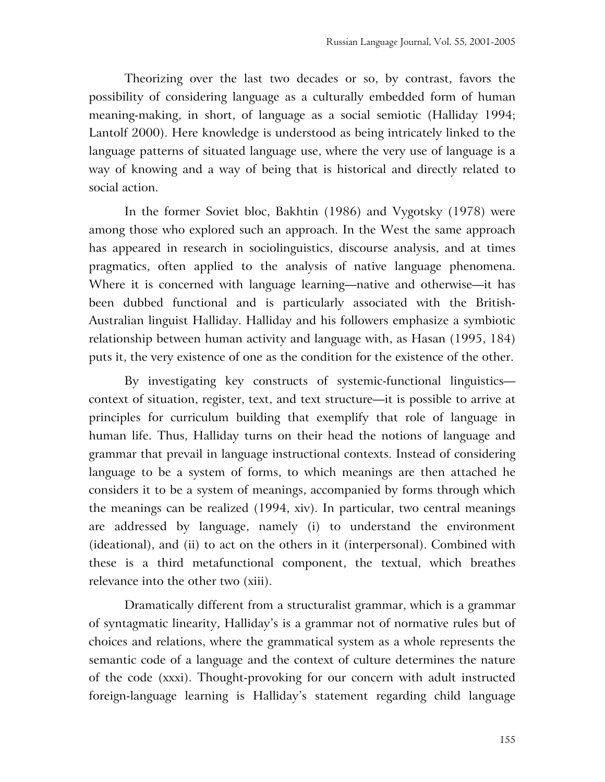Theorizing over the last two decades or so, by contrast, favors the possibility of considering language as a culturally embedded form of human meaning-making, in short, of language as a social semiotic (Halliday 1994; Lantolf 2000). Here knowledge is understood as being intricately linked to the language patterns of situated language use, where the very use of language is a way of knowing and a way of being that is historical and directly related to social action.

In the former Soviet bloc, Bakhtin (1986) and Vygotsky (1978) were among those who explored such an approach. In the West the same approach has appeared in research in sociolinguistics, discourse analysis, and at times pragmatics, often applied to the analysis of native language phenomena. Where it is concerned with language learning—native and otherwise—it has been dubbed functional and is particularly associated with the British-Australian linguist Halliday. Halliday and his followers emphasize a symbiotic relationship between human activity and language with, as Hasan (1995, 184) puts it, the very existence of one as the condition for the existence of the other.

By investigating key constructs of systemic-functional linguistics context of situation, register, text, and text structure—it is possible to arrive at principles for curriculum building that exemplify that role of language in human life. Thus, Halliday turns on their head the notions of language and grammar that prevail in language instructional contexts. Instead of considering language to be a system of forms, to which meanings are then attached he considers it to be a system of meanings, accompanied by forms through which the meanings can be realized (1994, xiv). In particular, two central meanings are addressed by language, namely (i) to understand the environment (ideational), and (ii) to act on the others in it (interpersonal). Combined with these is a third metafunctional component, the textual, which breathes relevance into the other two (xiii).

Dramatically different from a structuralist grammar, which is a grammar of syntagmatic linearity, Halliday's is a grammar not of normative rules but of choices and relations, where the grammatical system as a whole represents the semantic code of a language and the context of culture determines the nature of the code (xxxi). Thought-provoking for our concern with adult instructed foreign-language learning is Halliday's statement regarding child language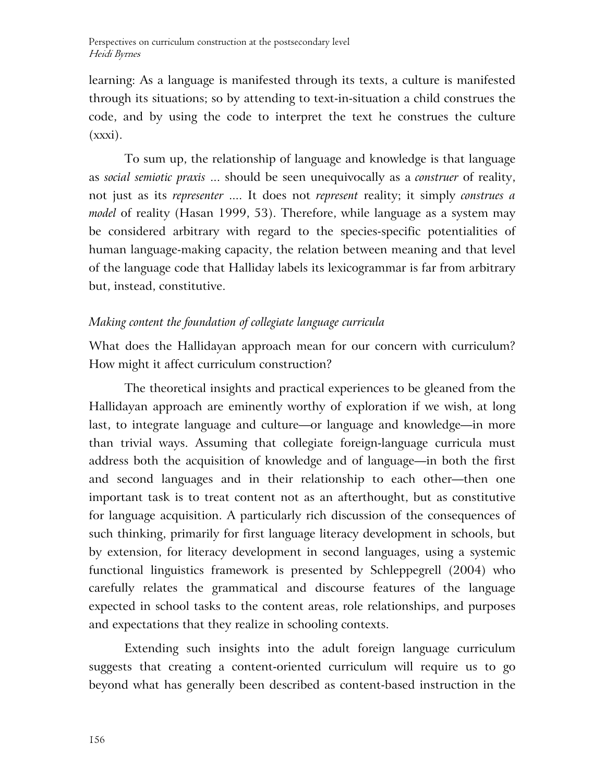learning: As a language is manifested through its texts, a culture is manifested through its situations; so by attending to text-in-situation a child construes the code, and by using the code to interpret the text he construes the culture  $(xxxi)$ .

To sum up, the relationship of language and knowledge is that language as *social semiotic praxis* ... should be seen unequivocally as a *construer* of reality, not just as its *representer* .... It does not *represent* reality; it simply *construes a model* of reality (Hasan 1999, 53). Therefore, while language as a system may be considered arbitrary with regard to the species-specific potentialities of human language-making capacity, the relation between meaning and that level of the language code that Halliday labels its lexicogrammar is far from arbitrary but, instead, constitutive.

# *Making content the foundation of collegiate language curricula*

What does the Hallidayan approach mean for our concern with curriculum? How might it affect curriculum construction?

The theoretical insights and practical experiences to be gleaned from the Hallidayan approach are eminently worthy of exploration if we wish, at long last, to integrate language and culture—or language and knowledge—in more than trivial ways. Assuming that collegiate foreign-language curricula must address both the acquisition of knowledge and of language—in both the first and second languages and in their relationship to each other—then one important task is to treat content not as an afterthought, but as constitutive for language acquisition. A particularly rich discussion of the consequences of such thinking, primarily for first language literacy development in schools, but by extension, for literacy development in second languages, using a systemic functional linguistics framework is presented by Schleppegrell (2004) who carefully relates the grammatical and discourse features of the language expected in school tasks to the content areas, role relationships, and purposes and expectations that they realize in schooling contexts.

Extending such insights into the adult foreign language curriculum suggests that creating a content-oriented curriculum will require us to go beyond what has generally been described as content-based instruction in the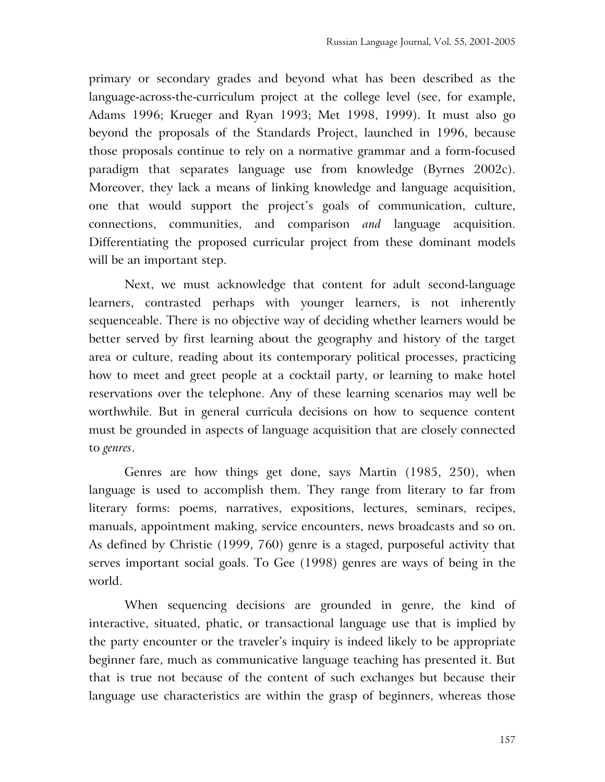primary or secondary grades and beyond what has been described as the language-across-the-curriculum project at the college level (see, for example, Adams 1996; Krueger and Ryan 1993; Met 1998, 1999). It must also go beyond the proposals of the Standards Project, launched in 1996, because those proposals continue to rely on a normative grammar and a form-focused paradigm that separates language use from knowledge (Byrnes 2002c). Moreover, they lack a means of linking knowledge and language acquisition, one that would support the project's goals of communication, culture, connections, communities, and comparison *and* language acquisition. Differentiating the proposed curricular project from these dominant models will be an important step.

Next, we must acknowledge that content for adult second-language learners, contrasted perhaps with younger learners, is not inherently sequenceable. There is no objective way of deciding whether learners would be better served by first learning about the geography and history of the target area or culture, reading about its contemporary political processes, practicing how to meet and greet people at a cocktail party, or learning to make hotel reservations over the telephone. Any of these learning scenarios may well be worthwhile. But in general curricula decisions on how to sequence content must be grounded in aspects of language acquisition that are closely connected to *genres*.

Genres are how things get done, says Martin (1985, 250), when language is used to accomplish them. They range from literary to far from literary forms: poems, narratives, expositions, lectures, seminars, recipes, manuals, appointment making, service encounters, news broadcasts and so on. As defined by Christie (1999, 760) genre is a staged, purposeful activity that serves important social goals. To Gee (1998) genres are ways of being in the world.

When sequencing decisions are grounded in genre, the kind of interactive, situated, phatic, or transactional language use that is implied by the party encounter or the traveler's inquiry is indeed likely to be appropriate beginner fare, much as communicative language teaching has presented it. But that is true not because of the content of such exchanges but because their language use characteristics are within the grasp of beginners, whereas those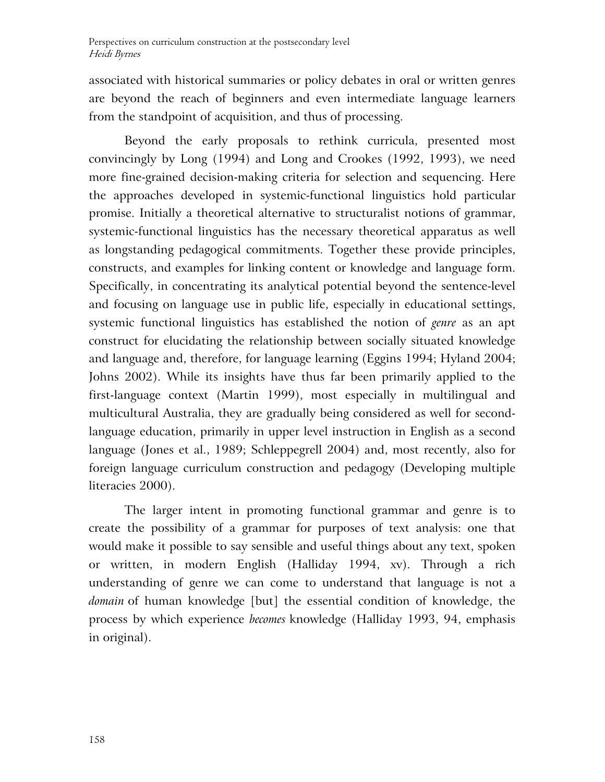associated with historical summaries or policy debates in oral or written genres are beyond the reach of beginners and even intermediate language learners from the standpoint of acquisition, and thus of processing.

Beyond the early proposals to rethink curricula, presented most convincingly by Long (1994) and Long and Crookes (1992, 1993), we need more fine-grained decision-making criteria for selection and sequencing. Here the approaches developed in systemic-functional linguistics hold particular promise. Initially a theoretical alternative to structuralist notions of grammar, systemic-functional linguistics has the necessary theoretical apparatus as well as longstanding pedagogical commitments. Together these provide principles, constructs, and examples for linking content or knowledge and language form. Specifically, in concentrating its analytical potential beyond the sentence-level and focusing on language use in public life, especially in educational settings, systemic functional linguistics has established the notion of *genre* as an apt construct for elucidating the relationship between socially situated knowledge and language and, therefore, for language learning (Eggins 1994; Hyland 2004; Johns 2002). While its insights have thus far been primarily applied to the first-language context (Martin 1999), most especially in multilingual and multicultural Australia, they are gradually being considered as well for secondlanguage education, primarily in upper level instruction in English as a second language (Jones et al., 1989; Schleppegrell 2004) and, most recently, also for foreign language curriculum construction and pedagogy (Developing multiple literacies 2000).

The larger intent in promoting functional grammar and genre is to create the possibility of a grammar for purposes of text analysis: one that would make it possible to say sensible and useful things about any text, spoken or written, in modern English (Halliday 1994, xv). Through a rich understanding of genre we can come to understand that language is not a *domain* of human knowledge [but] the essential condition of knowledge, the process by which experience *becomes* knowledge (Halliday 1993, 94, emphasis in original).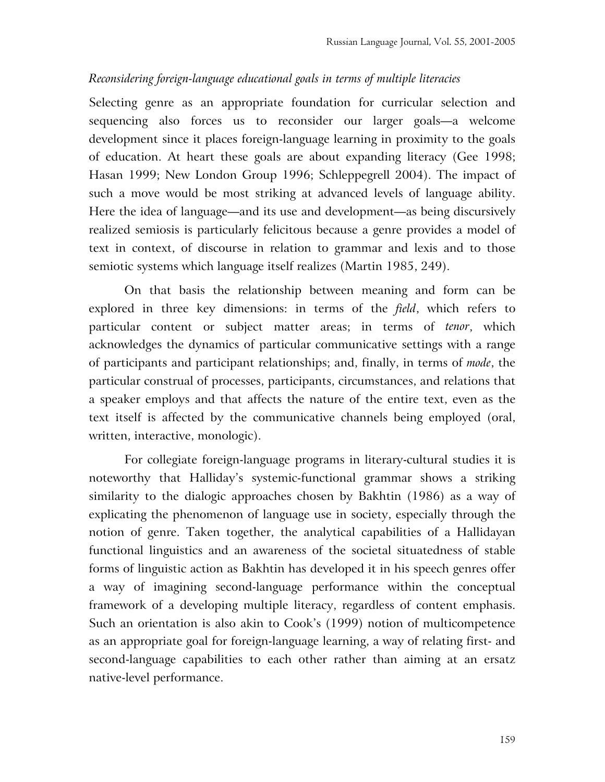### *Reconsidering foreign-language educational goals in terms of multiple literacies*

Selecting genre as an appropriate foundation for curricular selection and sequencing also forces us to reconsider our larger goals—a welcome development since it places foreign-language learning in proximity to the goals of education. At heart these goals are about expanding literacy (Gee 1998; Hasan 1999; New London Group 1996; Schleppegrell 2004). The impact of such a move would be most striking at advanced levels of language ability. Here the idea of language—and its use and development—as being discursively realized semiosis is particularly felicitous because a genre provides a model of text in context, of discourse in relation to grammar and lexis and to those semiotic systems which language itself realizes (Martin 1985, 249).

On that basis the relationship between meaning and form can be explored in three key dimensions: in terms of the *field*, which refers to particular content or subject matter areas; in terms of *tenor*, which acknowledges the dynamics of particular communicative settings with a range of participants and participant relationships; and, finally, in terms of *mode*, the particular construal of processes, participants, circumstances, and relations that a speaker employs and that affects the nature of the entire text, even as the text itself is affected by the communicative channels being employed (oral, written, interactive, monologic).

For collegiate foreign-language programs in literary-cultural studies it is noteworthy that Halliday's systemic-functional grammar shows a striking similarity to the dialogic approaches chosen by Bakhtin (1986) as a way of explicating the phenomenon of language use in society, especially through the notion of genre. Taken together, the analytical capabilities of a Hallidayan functional linguistics and an awareness of the societal situatedness of stable forms of linguistic action as Bakhtin has developed it in his speech genres offer a way of imagining second-language performance within the conceptual framework of a developing multiple literacy, regardless of content emphasis. Such an orientation is also akin to Cook's (1999) notion of multicompetence as an appropriate goal for foreign-language learning, a way of relating first- and second-language capabilities to each other rather than aiming at an ersatz native-level performance.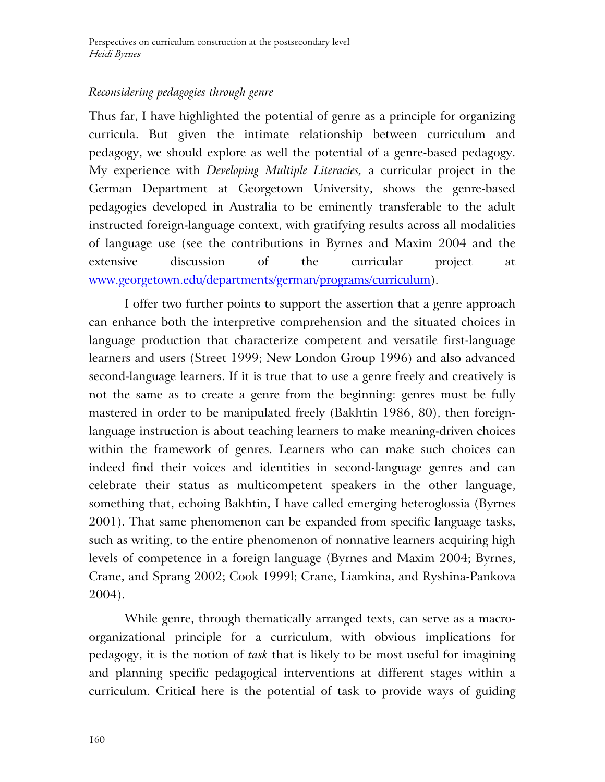# *Reconsidering pedagogies through genre*

Thus far, I have highlighted the potential of genre as a principle for organizing curricula. But given the intimate relationship between curriculum and pedagogy, we should explore as well the potential of a genre-based pedagogy. My experience with *Developing Multiple Literacies,* a curricular project in the German Department at Georgetown University, shows the genre-based pedagogies developed in Australia to be eminently transferable to the adult instructed foreign-language context, with gratifying results across all modalities of language use (see the contributions in Byrnes and Maxim 2004 and the extensive discussion of the curricular project at www.georgetown.edu/departments/german/programs/curriculum).

I offer two further points to support the assertion that a genre approach can enhance both the interpretive comprehension and the situated choices in language production that characterize competent and versatile first-language learners and users (Street 1999; New London Group 1996) and also advanced second-language learners. If it is true that to use a genre freely and creatively is not the same as to create a genre from the beginning: genres must be fully mastered in order to be manipulated freely (Bakhtin 1986, 80), then foreignlanguage instruction is about teaching learners to make meaning-driven choices within the framework of genres. Learners who can make such choices can indeed find their voices and identities in second-language genres and can celebrate their status as multicompetent speakers in the other language, something that, echoing Bakhtin, I have called emerging heteroglossia (Byrnes 2001). That same phenomenon can be expanded from specific language tasks, such as writing, to the entire phenomenon of nonnative learners acquiring high levels of competence in a foreign language (Byrnes and Maxim 2004; Byrnes, Crane, and Sprang 2002; Cook 1999l; Crane, Liamkina, and Ryshina-Pankova 2004).

While genre, through thematically arranged texts, can serve as a macroorganizational principle for a curriculum, with obvious implications for pedagogy, it is the notion of *task* that is likely to be most useful for imagining and planning specific pedagogical interventions at different stages within a curriculum. Critical here is the potential of task to provide ways of guiding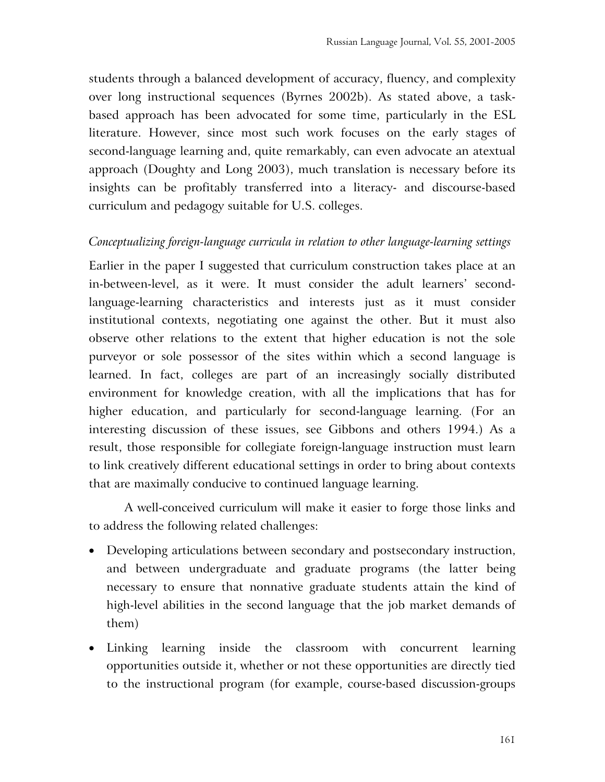students through a balanced development of accuracy, fluency, and complexity over long instructional sequences (Byrnes 2002b). As stated above, a taskbased approach has been advocated for some time, particularly in the ESL literature. However, since most such work focuses on the early stages of second-language learning and, quite remarkably, can even advocate an atextual approach (Doughty and Long 2003), much translation is necessary before its insights can be profitably transferred into a literacy- and discourse-based curriculum and pedagogy suitable for U.S. colleges.

### *Conceptualizing foreign-language curricula in relation to other language-learning settings*

Earlier in the paper I suggested that curriculum construction takes place at an in-between-level, as it were. It must consider the adult learners' secondlanguage-learning characteristics and interests just as it must consider institutional contexts, negotiating one against the other. But it must also observe other relations to the extent that higher education is not the sole purveyor or sole possessor of the sites within which a second language is learned. In fact, colleges are part of an increasingly socially distributed environment for knowledge creation, with all the implications that has for higher education, and particularly for second-language learning. (For an interesting discussion of these issues, see Gibbons and others 1994.) As a result, those responsible for collegiate foreign-language instruction must learn to link creatively different educational settings in order to bring about contexts that are maximally conducive to continued language learning.

A well-conceived curriculum will make it easier to forge those links and to address the following related challenges:

- Developing articulations between secondary and postsecondary instruction, and between undergraduate and graduate programs (the latter being necessary to ensure that nonnative graduate students attain the kind of high-level abilities in the second language that the job market demands of them)
- Linking learning inside the classroom with concurrent learning opportunities outside it, whether or not these opportunities are directly tied to the instructional program (for example, course-based discussion-groups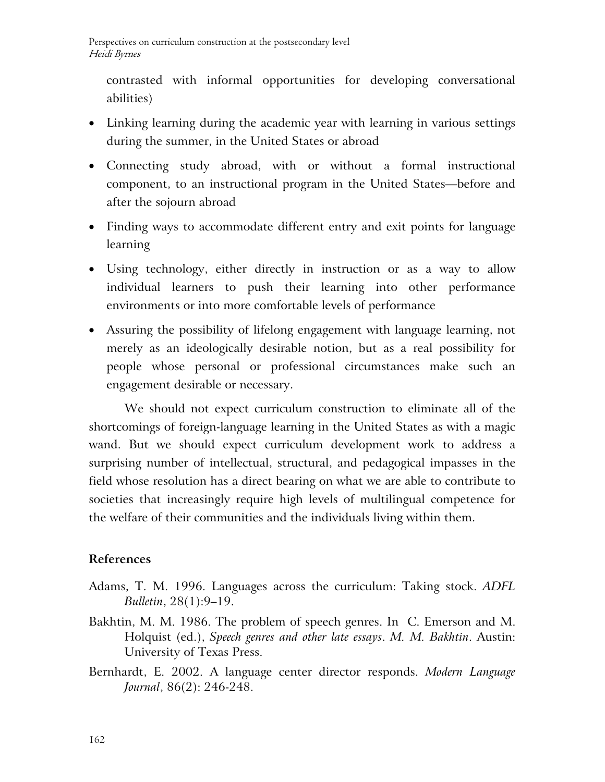contrasted with informal opportunities for developing conversational abilities)

- Linking learning during the academic year with learning in various settings during the summer, in the United States or abroad
- Connecting study abroad, with or without a formal instructional component, to an instructional program in the United States—before and after the sojourn abroad
- Finding ways to accommodate different entry and exit points for language learning
- Using technology, either directly in instruction or as a way to allow individual learners to push their learning into other performance environments or into more comfortable levels of performance
- Assuring the possibility of lifelong engagement with language learning, not merely as an ideologically desirable notion, but as a real possibility for people whose personal or professional circumstances make such an engagement desirable or necessary.

We should not expect curriculum construction to eliminate all of the shortcomings of foreign-language learning in the United States as with a magic wand. But we should expect curriculum development work to address a surprising number of intellectual, structural, and pedagogical impasses in the field whose resolution has a direct bearing on what we are able to contribute to societies that increasingly require high levels of multilingual competence for the welfare of their communities and the individuals living within them.

# **References**

- Adams, T. M. 1996. Languages across the curriculum: Taking stock. *ADFL Bulletin*, 28(1):9–19.
- Bakhtin, M. M. 1986. The problem of speech genres. In C. Emerson and M. Holquist (ed.), *Speech genres and other late essays*. *M. M. Bakhtin*. Austin: University of Texas Press.
- Bernhardt, E. 2002. A language center director responds. *Modern Language Journal*, 86(2): 246-248.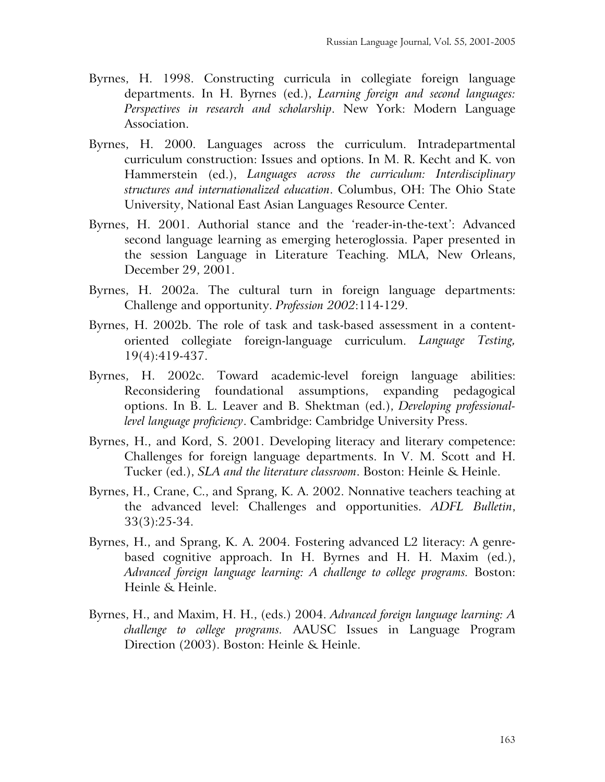- Byrnes, H. 1998. Constructing curricula in collegiate foreign language departments. In H. Byrnes (ed.), *Learning foreign and second languages: Perspectives in research and scholarship*. New York: Modern Language Association.
- Byrnes, H. 2000. Languages across the curriculum. Intradepartmental curriculum construction: Issues and options. In M. R. Kecht and K. von Hammerstein (ed.), *Languages across the curriculum: Interdisciplinary structures and internationalized education*. Columbus, OH: The Ohio State University, National East Asian Languages Resource Center.
- Byrnes, H. 2001. Authorial stance and the 'reader-in-the-text': Advanced second language learning as emerging heteroglossia. Paper presented in the session Language in Literature Teaching. MLA, New Orleans, December 29, 2001.
- Byrnes, H. 2002a. The cultural turn in foreign language departments: Challenge and opportunity. *Profession 2002*:114-129.
- Byrnes, H. 2002b. The role of task and task-based assessment in a contentoriented collegiate foreign-language curriculum. *Language Testing,* 19(4):419-437.
- Byrnes, H. 2002c. Toward academic-level foreign language abilities: Reconsidering foundational assumptions, expanding pedagogical options. In B. L. Leaver and B. Shektman (ed.), *Developing professionallevel language proficiency*. Cambridge: Cambridge University Press.
- Byrnes, H., and Kord, S. 2001. Developing literacy and literary competence: Challenges for foreign language departments. In V. M. Scott and H. Tucker (ed.), *SLA and the literature classroom*. Boston: Heinle & Heinle.
- Byrnes, H., Crane, C., and Sprang, K. A. 2002. Nonnative teachers teaching at the advanced level: Challenges and opportunities. *ADFL Bulletin*, 33(3):25-34.
- Byrnes, H., and Sprang, K. A. 2004. Fostering advanced L2 literacy: A genrebased cognitive approach. In H. Byrnes and H. H. Maxim (ed.), *Advanced foreign language learning: A challenge to college programs.* Boston: Heinle & Heinle.
- Byrnes, H., and Maxim, H. H., (eds.) 2004. *Advanced foreign language learning: A challenge to college programs.* AAUSC Issues in Language Program Direction (2003). Boston: Heinle & Heinle.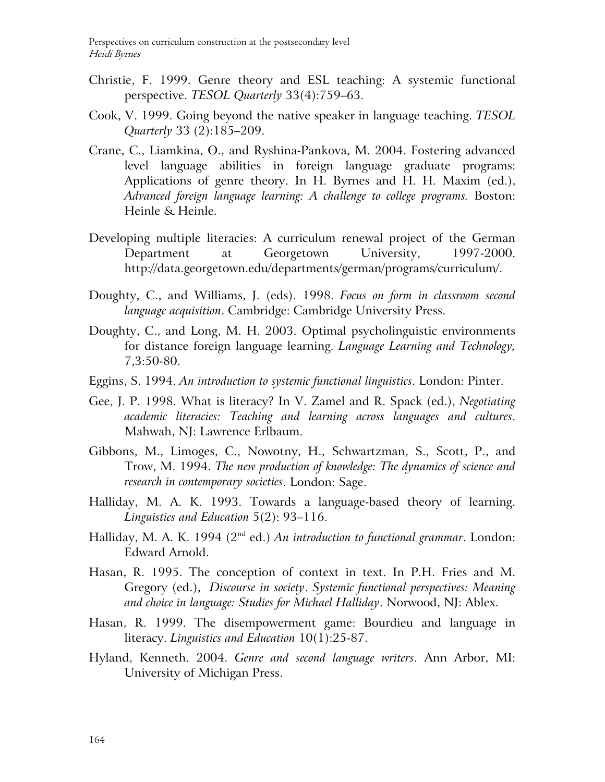- Christie, F. 1999. Genre theory and ESL teaching: A systemic functional perspective. *TESOL Quarterly* 33(4):759–63.
- Cook, V. 1999. Going beyond the native speaker in language teaching. *TESOL Quarterly* 33 (2):185–209.
- Crane, C., Liamkina, O., and Ryshina-Pankova, M. 2004. Fostering advanced level language abilities in foreign language graduate programs: Applications of genre theory. In H. Byrnes and H. H. Maxim (ed.), *Advanced foreign language learning: A challenge to college programs.* Boston: Heinle & Heinle.
- Developing multiple literacies: A curriculum renewal project of the German Department at Georgetown University, 1997-2000. http://data.georgetown.edu/departments/german/programs/curriculum/.
- Doughty, C., and Williams, J. (eds). 1998. *Focus on form in classroom second language acquisition*. Cambridge: Cambridge University Press.
- Doughty, C., and Long, M. H. 2003. Optimal psycholinguistic environments for distance foreign language learning. *Language Learning and Technology,*  7,3:50-80.
- Eggins, S. 1994. *An introduction to systemic functional linguistics*. London: Pinter.
- Gee, J. P. 1998. What is literacy? In V. Zamel and R. Spack (ed.), *Negotiating academic literacies: Teaching and learning across languages and cultures*. Mahwah, NJ: Lawrence Erlbaum.
- Gibbons, M., Limoges, C., Nowotny, H., Schwartzman, S., Scott, P., and Trow, M. 1994. *The new production of knowledge: The dynamics of science and research in contemporary societies*. London: Sage.
- Halliday, M. A. K. 1993. Towards a language-based theory of learning. *Linguistics and Education* 5(2): 93–116.
- Halliday, M. A. K. 1994 (2<sup>nd</sup> ed.) *An introduction to functional grammar*. London: Edward Arnold.
- Hasan, R. 1995. The conception of context in text. In P.H. Fries and M. Gregory (ed.), *Discourse in society*. *Systemic functional perspectives: Meaning and choice in language: Studies for Michael Halliday*. Norwood, NJ: Ablex.
- Hasan, R. 1999. The disempowerment game: Bourdieu and language in literacy. *Linguistics and Education* 10(1):25-87.
- Hyland, Kenneth. 2004. *Genre and second language writers*. Ann Arbor, MI: University of Michigan Press.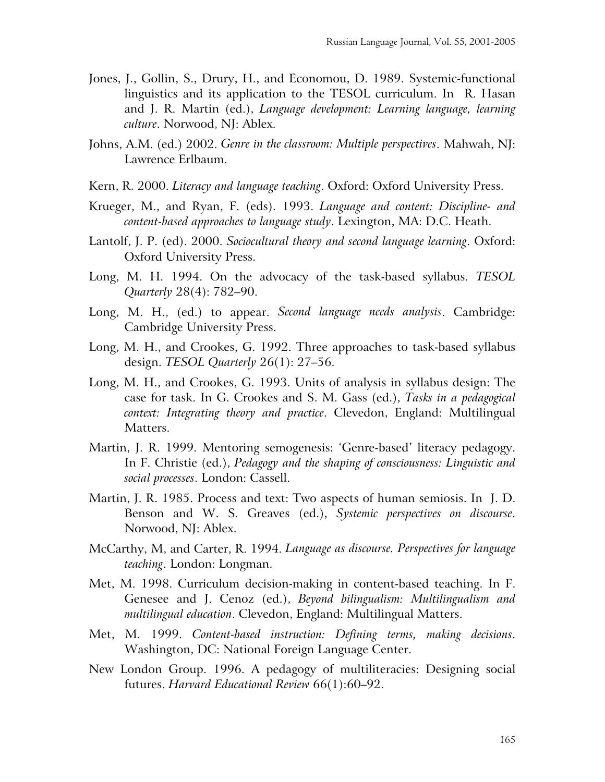- Jones, J., Gollin, S., Drury, H., and Economou, D. 1989. Systemic-functional linguistics and its application to the TESOL curriculum. In R. Hasan and J. R. Martin (ed.), *Language development: Learning language, learning culture*. Norwood, NJ: Ablex.
- Johns, A.M. (ed.) 2002. *Genre in the classroom: Multiple perspectives*. Mahwah, NJ: Lawrence Erlbaum.
- Kern, R. 2000. *Literacy and language teaching*. Oxford: Oxford University Press.
- Krueger, M., and Ryan, F. (eds). 1993. *Language and content: Discipline- and content-based approaches to language study*. Lexington, MA: D.C. Heath.
- Lantolf, J. P. (ed). 2000. *Sociocultural theory and second language learning*. Oxford: Oxford University Press.
- Long, M. H. 1994. On the advocacy of the task-based syllabus. *TESOL Quarterly* 28(4): 782–90.
- Long, M. H., (ed.) to appear. *Second language needs analysis*. Cambridge: Cambridge University Press.
- Long, M. H., and Crookes, G. 1992. Three approaches to task-based syllabus design. *TESOL Quarterly* 26(1): 27–56.
- Long, M. H., and Crookes, G. 1993. Units of analysis in syllabus design: The case for task. In G. Crookes and S. M. Gass (ed.), *Tasks in a pedagogical context: Integrating theory and practice*. Clevedon, England: Multilingual Matters.
- Martin, J. R. 1999. Mentoring semogenesis: 'Genre-based' literacy pedagogy. In F. Christie (ed.), *Pedagogy and the shaping of consciousness: Linguistic and social processes*. London: Cassell.
- Martin, J. R. 1985. Process and text: Two aspects of human semiosis. In J. D. Benson and W. S. Greaves (ed.), *Systemic perspectives on discourse*. Norwood, NJ: Ablex.
- McCarthy, M, and Carter, R. 1994. *Language as discourse. Perspectives for language teaching*. London: Longman.
- Met, M. 1998. Curriculum decision-making in content-based teaching. In F. Genesee and J. Cenoz (ed.), *Beyond bilingualism: Multilingualism and multilingual education*. Clevedon, England: Multilingual Matters.
- Met, M. 1999. *Content-based instruction: Defining terms, making decisions*. Washington, DC: National Foreign Language Center.
- New London Group. 1996. A pedagogy of multiliteracies: Designing social futures. *Harvard Educational Review* 66(1):60–92.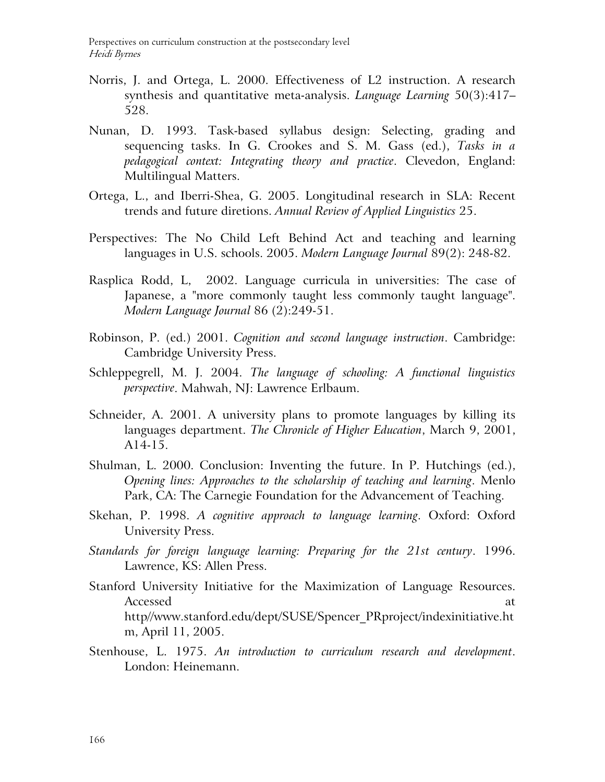- Norris, J. and Ortega, L. 2000. Effectiveness of L2 instruction. A research synthesis and quantitative meta-analysis. *Language Learning* 50(3):417– 528.
- Nunan, D. 1993. Task-based syllabus design: Selecting, grading and sequencing tasks. In G. Crookes and S. M. Gass (ed.), *Tasks in a pedagogical context: Integrating theory and practice*. Clevedon, England: Multilingual Matters.
- Ortega, L., and Iberri-Shea, G. 2005. Longitudinal research in SLA: Recent trends and future diretions. *Annual Review of Applied Linguistics* 25.
- Perspectives: The No Child Left Behind Act and teaching and learning languages in U.S. schools. 2005. *Modern Language Journal* 89(2): 248-82.
- Rasplica Rodd, L, 2002. Language curricula in universities: The case of Japanese, a "more commonly taught less commonly taught language". *Modern Language Journal* 86 (2):249-51.
- Robinson, P. (ed.) 2001. *Cognition and second language instruction*. Cambridge: Cambridge University Press.
- Schleppegrell, M. J. 2004. *The language of schooling: A functional linguistics perspective*. Mahwah, NJ: Lawrence Erlbaum.
- Schneider, A. 2001. A university plans to promote languages by killing its languages department. *The Chronicle of Higher Education*, March 9, 2001, A14-15.
- Shulman, L. 2000. Conclusion: Inventing the future. In P. Hutchings (ed.), *Opening lines: Approaches to the scholarship of teaching and learning*. Menlo Park, CA: The Carnegie Foundation for the Advancement of Teaching.
- Skehan, P. 1998. *A cognitive approach to language learning*. Oxford: Oxford University Press.
- *Standards for foreign language learning: Preparing for the 21st century*. 1996. Lawrence, KS: Allen Press.
- Stanford University Initiative for the Maximization of Language Resources. Accessed at a set of  $\alpha$  at a set of  $\alpha$  at a set of  $\alpha$  at a set of  $\alpha$  at a set of  $\alpha$  at a set of  $\alpha$  at a set of  $\alpha$  at a set of  $\alpha$  at a set of  $\alpha$  at a set of  $\alpha$  at a set of  $\alpha$  at a set of  $\alpha$  at a set http//www.stanford.edu/dept/SUSE/Spencer\_PRproject/indexinitiative.ht m, April 11, 2005.
- Stenhouse, L. 1975. *An introduction to curriculum research and development*. London: Heinemann.